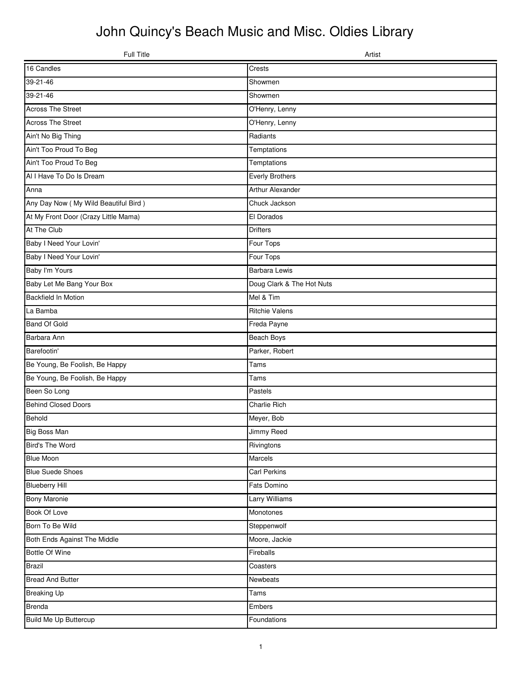## John Quincy's Beach Music and Misc. Oldies Library

| Full Title                           | Artist                    |
|--------------------------------------|---------------------------|
| 16 Candles                           | <b>Crests</b>             |
| $39 - 21 - 46$                       | Showmen                   |
| 39-21-46                             | Showmen                   |
| <b>Across The Street</b>             | O'Henry, Lenny            |
| <b>Across The Street</b>             | O'Henry, Lenny            |
| Ain't No Big Thing                   | Radiants                  |
| Ain't Too Proud To Beg               | Temptations               |
| Ain't Too Proud To Beg               | Temptations               |
| Al I Have To Do Is Dream             | <b>Everly Brothers</b>    |
| Anna                                 | Arthur Alexander          |
| Any Day Now (My Wild Beautiful Bird) | Chuck Jackson             |
| At My Front Door (Crazy Little Mama) | El Dorados                |
| At The Club                          | <b>Drifters</b>           |
| Baby I Need Your Lovin'              | Four Tops                 |
| Baby I Need Your Lovin'              | Four Tops                 |
| Baby I'm Yours                       | <b>Barbara Lewis</b>      |
| Baby Let Me Bang Your Box            | Doug Clark & The Hot Nuts |
| Backfield In Motion                  | Mel & Tim                 |
| La Bamba                             | <b>Ritchie Valens</b>     |
| <b>Band Of Gold</b>                  | Freda Payne               |
| Barbara Ann                          | Beach Boys                |
| Barefootin'                          | Parker, Robert            |
| Be Young, Be Foolish, Be Happy       | Tams                      |
| Be Young, Be Foolish, Be Happy       | Tams                      |
| Been So Long                         | Pastels                   |
| <b>Behind Closed Doors</b>           | <b>Charlie Rich</b>       |
| Behold                               | Meyer, Bob                |
| <b>Big Boss Man</b>                  | Jimmy Reed                |
| Bird's The Word                      | Rivingtons                |
| <b>Blue Moon</b>                     | Marcels                   |
| <b>Blue Suede Shoes</b>              | <b>Carl Perkins</b>       |
| <b>Blueberry Hill</b>                | Fats Domino               |
| <b>Bony Maronie</b>                  | Larry Williams            |
| Book Of Love                         | Monotones                 |
| Born To Be Wild                      | Steppenwolf               |
| Both Ends Against The Middle         | Moore, Jackie             |
| Bottle Of Wine                       | Fireballs                 |
| <b>Brazil</b>                        | Coasters                  |
| <b>Bread And Butter</b>              | Newbeats                  |
| <b>Breaking Up</b>                   | Tams                      |
| <b>Brenda</b>                        | Embers                    |
| Build Me Up Buttercup                | Foundations               |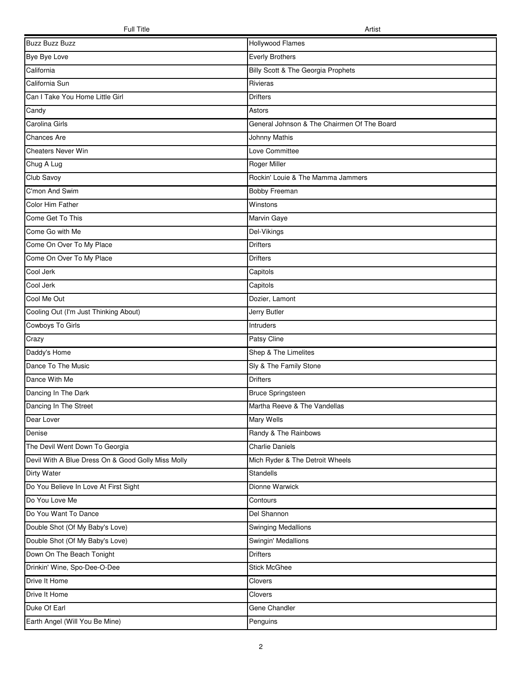| <b>Buzz Buzz Buzz</b>                              | Hollywood Flames                            |
|----------------------------------------------------|---------------------------------------------|
| Bye Bye Love                                       | <b>Everly Brothers</b>                      |
| California                                         | Billy Scott & The Georgia Prophets          |
| California Sun                                     | Rivieras                                    |
| Can I Take You Home Little Girl                    | <b>Drifters</b>                             |
| Candy                                              | Astors                                      |
| Carolina Girls                                     | General Johnson & The Chairmen Of The Board |
| <b>Chances Are</b>                                 | <b>Johnny Mathis</b>                        |
| <b>Cheaters Never Win</b>                          | Love Committee                              |
| Chug A Lug                                         | Roger Miller                                |
| Club Savoy                                         | Rockin' Louie & The Mamma Jammers           |
| C'mon And Swim                                     | Bobby Freeman                               |
| Color Him Father                                   | Winstons                                    |
| Come Get To This                                   | Marvin Gaye                                 |
| Come Go with Me                                    | Del-Vikings                                 |
| Come On Over To My Place                           | <b>Drifters</b>                             |
| Come On Over To My Place                           | <b>Drifters</b>                             |
| Cool Jerk                                          | Capitols                                    |
| Cool Jerk                                          | Capitols                                    |
| Cool Me Out                                        | Dozier, Lamont                              |
| Cooling Out (I'm Just Thinking About)              | Jerry Butler                                |
| Cowboys To Girls                                   | Intruders                                   |
| Crazy                                              | Patsy Cline                                 |
| Daddy's Home                                       | Shep & The Limelites                        |
| Dance To The Music                                 | Sly & The Family Stone                      |
| Dance With Me                                      | <b>Drifters</b>                             |
| Dancing In The Dark                                | <b>Bruce Springsteen</b>                    |
| Dancing In The Street                              | Martha Reeve & The Vandellas                |
| Dear Lover                                         | Mary Wells                                  |
| Denise                                             | Randy & The Rainbows                        |
| The Devil Went Down To Georgia                     | <b>Charlie Daniels</b>                      |
| Devil With A Blue Dress On & Good Golly Miss Molly | Mich Ryder & The Detroit Wheels             |
| Dirty Water                                        | Standells                                   |
| Do You Believe In Love At First Sight              | Dionne Warwick                              |
| Do You Love Me                                     | Contours                                    |
| Do You Want To Dance                               | Del Shannon                                 |
| Double Shot (Of My Baby's Love)                    | <b>Swinging Medallions</b>                  |
| Double Shot (Of My Baby's Love)                    | Swingin' Medallions                         |
| Down On The Beach Tonight                          | <b>Drifters</b>                             |
| Drinkin' Wine, Spo-Dee-O-Dee                       | <b>Stick McGhee</b>                         |
| Drive It Home                                      | Clovers                                     |
| Drive It Home                                      | Clovers                                     |
| Duke Of Earl                                       | Gene Chandler                               |
| Earth Angel (Will You Be Mine)                     | Penguins                                    |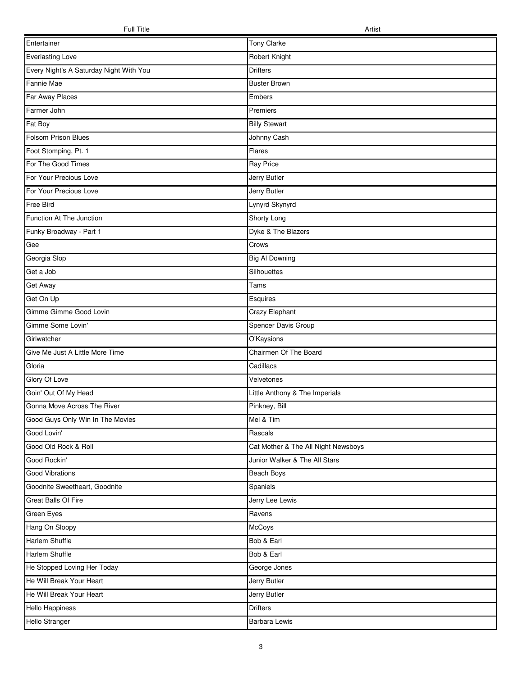| Entertainer                             | <b>Tony Clarke</b>                  |
|-----------------------------------------|-------------------------------------|
| <b>Everlasting Love</b>                 | Robert Knight                       |
| Every Night's A Saturday Night With You | <b>Drifters</b>                     |
| Fannie Mae                              | <b>Buster Brown</b>                 |
| Far Away Places                         | Embers                              |
| Farmer John                             | Premiers                            |
| Fat Boy                                 | <b>Billy Stewart</b>                |
| Folsom Prison Blues                     | Johnny Cash                         |
| Foot Stomping, Pt. 1                    | Flares                              |
| For The Good Times                      | Ray Price                           |
| For Your Precious Love                  | Jerry Butler                        |
| For Your Precious Love                  | Jerry Butler                        |
| Free Bird                               | Lynyrd Skynyrd                      |
| Function At The Junction                | Shorty Long                         |
| Funky Broadway - Part 1                 | Dyke & The Blazers                  |
| Gee                                     | Crows                               |
| Georgia Slop                            | <b>Big Al Downing</b>               |
| Get a Job                               | Silhouettes                         |
| Get Away                                | Tams                                |
| Get On Up                               | Esquires                            |
| Gimme Gimme Good Lovin                  | Crazy Elephant                      |
| Gimme Some Lovin'                       | Spencer Davis Group                 |
| Girlwatcher                             | O'Kaysions                          |
| Give Me Just A Little More Time         | Chairmen Of The Board               |
| Gloria                                  | Cadillacs                           |
| Glory Of Love                           | Velvetones                          |
| Goin' Out Of My Head                    | Little Anthony & The Imperials      |
| Gonna Move Across The River             | Pinkney, Bill                       |
| Good Guys Only Win In The Movies        | Mel & Tim                           |
| Good Lovin'                             | Rascals                             |
| Good Old Rock & Roll                    | Cat Mother & The All Night Newsboys |
| Good Rockin'                            | Junior Walker & The All Stars       |
| Good Vibrations                         | Beach Boys                          |
| Goodnite Sweetheart, Goodnite           | Spaniels                            |
| Great Balls Of Fire                     | Jerry Lee Lewis                     |
| Green Eyes                              | Ravens                              |
| Hang On Sloopy                          | McCoys                              |
| Harlem Shuffle                          | Bob & Earl                          |
| Harlem Shuffle                          | Bob & Earl                          |
| He Stopped Loving Her Today             | George Jones                        |
| He Will Break Your Heart                | Jerry Butler                        |
| He Will Break Your Heart                | Jerry Butler                        |
| Hello Happiness                         | <b>Drifters</b>                     |
| Hello Stranger                          | <b>Barbara Lewis</b>                |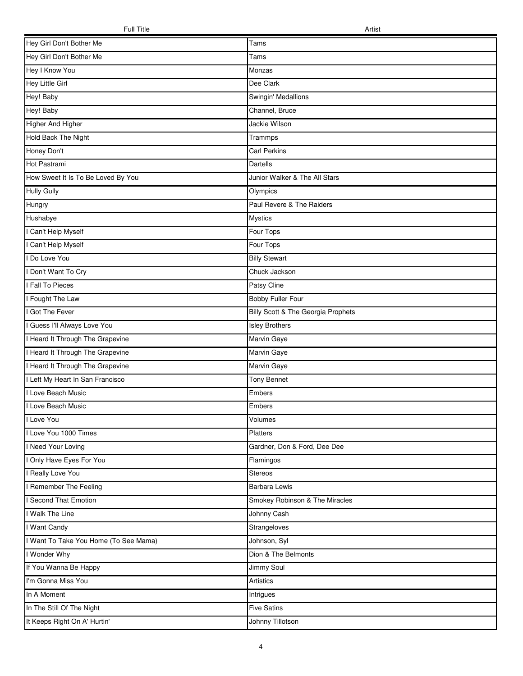| Hey Girl Don't Bother Me              | Tams                               |
|---------------------------------------|------------------------------------|
| Hey Girl Don't Bother Me              | Tams                               |
| Hey I Know You                        | Monzas                             |
| Hey Little Girl                       | Dee Clark                          |
| Hey! Baby                             | Swingin' Medallions                |
| Hey! Baby                             | Channel, Bruce                     |
| Higher And Higher                     | Jackie Wilson                      |
| Hold Back The Night                   | Trammps                            |
| Honey Don't                           | <b>Carl Perkins</b>                |
| Hot Pastrami                          | Dartells                           |
| How Sweet It Is To Be Loved By You    | Junior Walker & The All Stars      |
| <b>Hully Gully</b>                    | Olympics                           |
| Hungry                                | Paul Revere & The Raiders          |
| Hushabye                              | <b>Mystics</b>                     |
| Can't Help Myself                     | Four Tops                          |
| Can't Help Myself                     | Four Tops                          |
| Do Love You                           | <b>Billy Stewart</b>               |
| Don't Want To Cry                     | Chuck Jackson                      |
| Fall To Pieces                        | Patsy Cline                        |
| Fought The Law                        | Bobby Fuller Four                  |
| Got The Fever                         | Billy Scott & The Georgia Prophets |
| Guess I'll Always Love You            | <b>Isley Brothers</b>              |
| Heard It Through The Grapevine        | Marvin Gaye                        |
| Heard It Through The Grapevine        | Marvin Gaye                        |
| I Heard It Through The Grapevine      | Marvin Gaye                        |
| I Left My Heart In San Francisco      | <b>Tony Bennet</b>                 |
| I Love Beach Music                    | Embers                             |
| <b>I Love Beach Music</b>             | Embers                             |
| I Love You                            | Volumes                            |
| I Love You 1000 Times                 | Platters                           |
| I Need Your Loving                    | Gardner, Don & Ford, Dee Dee       |
| Only Have Eyes For You                | Flamingos                          |
| <b>Really Love You</b>                | Stereos                            |
| Remember The Feeling                  | Barbara Lewis                      |
| Second That Emotion                   | Smokey Robinson & The Miracles     |
| I Walk The Line                       | Johnny Cash                        |
| I Want Candy                          | Strangeloves                       |
| I Want To Take You Home (To See Mama) | Johnson, Syl                       |
| I Wonder Why                          | Dion & The Belmonts                |
| If You Wanna Be Happy                 | Jimmy Soul                         |
| I'm Gonna Miss You                    | Artistics                          |
| In A Moment                           | Intrigues                          |
| In The Still Of The Night             | <b>Five Satins</b>                 |
| It Keeps Right On A' Hurtin'          | Johnny Tillotson                   |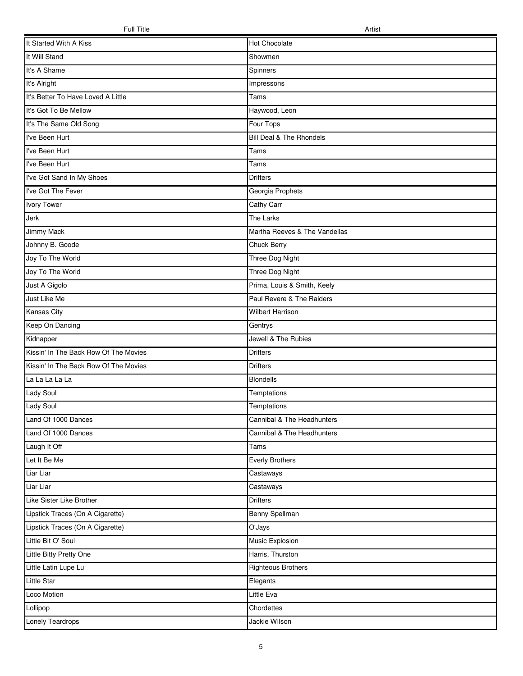| It Started With A Kiss                | <b>Hot Chocolate</b>          |
|---------------------------------------|-------------------------------|
| It Will Stand                         | Showmen                       |
| It's A Shame                          | Spinners                      |
| It's Alright                          | Impressons                    |
| It's Better To Have Loved A Little    | Tams                          |
| It's Got To Be Mellow                 | Haywood, Leon                 |
| It's The Same Old Song                | Four Tops                     |
| I've Been Hurt                        | Bill Deal & The Rhondels      |
| I've Been Hurt                        | Tams                          |
| I've Been Hurt                        | Tams                          |
| I've Got Sand In My Shoes             | <b>Drifters</b>               |
| I've Got The Fever                    | Georgia Prophets              |
| <b>Ivory Tower</b>                    | Cathy Carr                    |
| Jerk                                  | The Larks                     |
| <b>Jimmy Mack</b>                     | Martha Reeves & The Vandellas |
| Johnny B. Goode                       | Chuck Berry                   |
| Joy To The World                      | Three Dog Night               |
| Joy To The World                      | Three Dog Night               |
| Just A Gigolo                         | Prima, Louis & Smith, Keely   |
| Just Like Me                          | Paul Revere & The Raiders     |
| Kansas City                           | <b>Wilbert Harrison</b>       |
| Keep On Dancing                       | Gentrys                       |
| Kidnapper                             | Jewell & The Rubies           |
| Kissin' In The Back Row Of The Movies | <b>Drifters</b>               |
| Kissin' In The Back Row Of The Movies | <b>Drifters</b>               |
| La La La La La                        | Blondells                     |
| Lady Soul                             | Temptations                   |
| Lady Soul                             | Temptations                   |
| Land Of 1000 Dances                   | Cannibal & The Headhunters    |
| Land Of 1000 Dances                   | Cannibal & The Headhunters    |
| Laugh It Off                          | Tams                          |
| Let It Be Me                          | <b>Everly Brothers</b>        |
| Liar Liar                             | Castaways                     |
| Liar Liar                             | Castaways                     |
| Like Sister Like Brother              | <b>Drifters</b>               |
| Lipstick Traces (On A Cigarette)      | Benny Spellman                |
| Lipstick Traces (On A Cigarette)      | O'Jays                        |
| Little Bit O' Soul                    | Music Explosion               |
| Little Bitty Pretty One               | Harris, Thurston              |
| Little Latin Lupe Lu                  | <b>Righteous Brothers</b>     |
| Little Star                           | Elegants                      |
| Loco Motion                           | Little Eva                    |
| Lollipop                              | Chordettes                    |
| Lonely Teardrops                      | Jackie Wilson                 |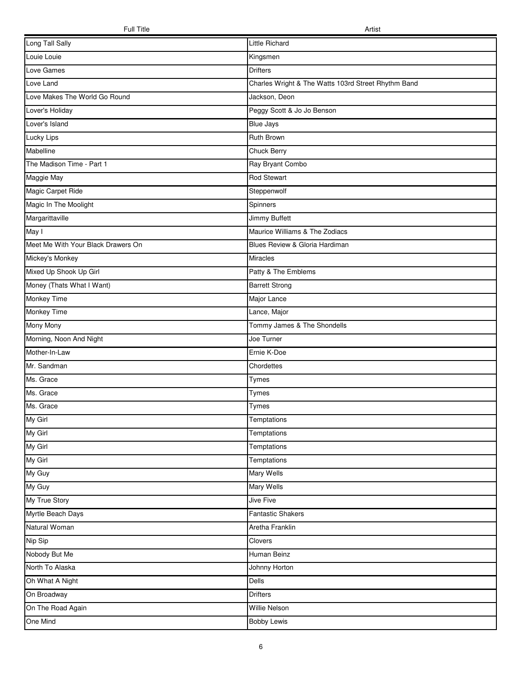| Long Tall Sally                    | Little Richard                                      |
|------------------------------------|-----------------------------------------------------|
| Louie Louie                        | Kingsmen                                            |
| Love Games                         | <b>Drifters</b>                                     |
| Love Land                          | Charles Wright & The Watts 103rd Street Rhythm Band |
| Love Makes The World Go Round      | Jackson, Deon                                       |
| Lover's Holiday                    | Peggy Scott & Jo Jo Benson                          |
| Lover's Island                     | <b>Blue Jays</b>                                    |
| Lucky Lips                         | Ruth Brown                                          |
| Mabelline                          | Chuck Berry                                         |
| The Madison Time - Part 1          | Ray Bryant Combo                                    |
| Maggie May                         | <b>Rod Stewart</b>                                  |
| Magic Carpet Ride                  | Steppenwolf                                         |
| Magic In The Moolight              | Spinners                                            |
| Margarittaville                    | Jimmy Buffett                                       |
| May I                              | Maurice Williams & The Zodiacs                      |
| Meet Me With Your Black Drawers On | Blues Review & Gloria Hardiman                      |
| Mickey's Monkey                    | <b>Miracles</b>                                     |
| Mixed Up Shook Up Girl             | Patty & The Emblems                                 |
| Money (Thats What I Want)          | <b>Barrett Strong</b>                               |
| Monkey Time                        | Major Lance                                         |
| Monkey Time                        | Lance, Major                                        |
| Mony Mony                          | Tommy James & The Shondells                         |
| Morning, Noon And Night            | Joe Turner                                          |
| Mother-In-Law                      | Ernie K-Doe                                         |
| Mr. Sandman                        | Chordettes                                          |
| Ms. Grace                          | Tymes                                               |
| Ms. Grace                          | <b>Tymes</b>                                        |
| Ms. Grace                          | Tymes                                               |
| My Girl                            | Temptations                                         |
| My Girl                            | Temptations                                         |
| My Girl                            | Temptations                                         |
| My Girl                            | Temptations                                         |
| My Guy                             | Mary Wells                                          |
| My Guy                             | Mary Wells                                          |
| My True Story                      | Jive Five                                           |
| Myrtle Beach Days                  | <b>Fantastic Shakers</b>                            |
| Natural Woman                      | Aretha Franklin                                     |
| Nip Sip                            | Clovers                                             |
| Nobody But Me                      | Human Beinz                                         |
| North To Alaska                    | Johnny Horton                                       |
| Oh What A Night                    | Dells                                               |
| On Broadway                        | <b>Drifters</b>                                     |
| On The Road Again                  | Willie Nelson                                       |
| One Mind                           | <b>Bobby Lewis</b>                                  |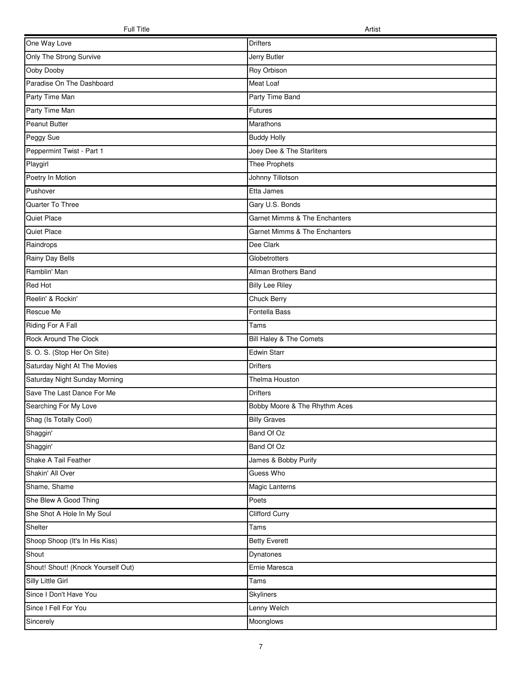| One Way Love                       | Drifters                      |
|------------------------------------|-------------------------------|
| Only The Strong Survive            | Jerry Butler                  |
| Ooby Dooby                         | Roy Orbison                   |
| Paradise On The Dashboard          | Meat Loaf                     |
| Party Time Man                     | Party Time Band               |
| Party Time Man                     | Futures                       |
| Peanut Butter                      | Marathons                     |
| Peggy Sue                          | <b>Buddy Holly</b>            |
| Peppermint Twist - Part 1          | Joey Dee & The Starliters     |
| Playgirl                           | Thee Prophets                 |
| Poetry In Motion                   | Johnny Tillotson              |
| Pushover                           | Etta James                    |
| Quarter To Three                   | Gary U.S. Bonds               |
| Quiet Place                        | Garnet Mimms & The Enchanters |
| Quiet Place                        | Garnet Mimms & The Enchanters |
| Raindrops                          | Dee Clark                     |
| Rainy Day Bells                    | Globetrotters                 |
| Ramblin' Man                       | Allman Brothers Band          |
| Red Hot                            | <b>Billy Lee Riley</b>        |
| Reelin' & Rockin'                  | Chuck Berry                   |
| Rescue Me                          | Fontella Bass                 |
| Riding For A Fall                  | Tams                          |
| Rock Around The Clock              | Bill Haley & The Comets       |
| S. O. S. (Stop Her On Site)        | <b>Edwin Starr</b>            |
| Saturday Night At The Movies       | <b>Drifters</b>               |
| Saturday Night Sunday Morning      | Thelma Houston                |
| Save The Last Dance For Me         | <b>Drifters</b>               |
| Searching For My Love              | Bobby Moore & The Rhythm Aces |
| Shag (Is Totally Cool)             | <b>Billy Graves</b>           |
| Shaggin'                           | Band Of Oz                    |
| Shaggin'                           | Band Of Oz                    |
| Shake A Tail Feather               | James & Bobby Purify          |
| Shakin' All Over                   | Guess Who                     |
| Shame, Shame                       | Magic Lanterns                |
| She Blew A Good Thing              | Poets                         |
| She Shot A Hole In My Soul         | <b>Clifford Curry</b>         |
| Shelter                            | Tams                          |
| Shoop Shoop (It's In His Kiss)     | <b>Betty Everett</b>          |
| Shout                              | Dynatones                     |
| Shout! Shout! (Knock Yourself Out) | Ernie Maresca                 |
| Silly Little Girl                  | Tams                          |
| Since I Don't Have You             | <b>Skyliners</b>              |
| Since I Fell For You               | Lenny Welch                   |
| Sincerely                          | Moonglows                     |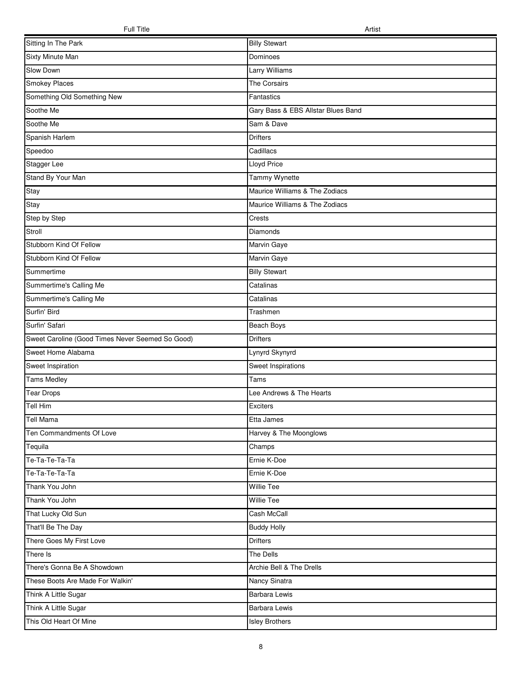| Sitting In The Park                              | <b>Billy Stewart</b>               |
|--------------------------------------------------|------------------------------------|
| Sixty Minute Man                                 | Dominoes                           |
| Slow Down                                        | Larry Williams                     |
| Smokey Places                                    | The Corsairs                       |
| Something Old Something New                      | Fantastics                         |
| Soothe Me                                        | Gary Bass & EBS Allstar Blues Band |
| Soothe Me                                        | Sam & Dave                         |
| Spanish Harlem                                   | <b>Drifters</b>                    |
| Speedoo                                          | Cadillacs                          |
| Stagger Lee                                      | <b>Lloyd Price</b>                 |
| Stand By Your Man                                | Tammy Wynette                      |
| Stay                                             | Maurice Williams & The Zodiacs     |
| Stay                                             | Maurice Williams & The Zodiacs     |
| Step by Step                                     | Crests                             |
| Stroll                                           | Diamonds                           |
| Stubborn Kind Of Fellow                          | Marvin Gaye                        |
| Stubborn Kind Of Fellow                          | Marvin Gaye                        |
| Summertime                                       | <b>Billy Stewart</b>               |
| Summertime's Calling Me                          | Catalinas                          |
| Summertime's Calling Me                          | Catalinas                          |
| Surfin' Bird                                     | Trashmen                           |
| Surfin' Safari                                   | Beach Boys                         |
| Sweet Caroline (Good Times Never Seemed So Good) | <b>Drifters</b>                    |
| Sweet Home Alabama                               | Lynyrd Skynyrd                     |
| Sweet Inspiration                                | Sweet Inspirations                 |
| <b>Tams Medley</b>                               | Tams                               |
| <b>Tear Drops</b>                                | Lee Andrews & The Hearts           |
| Tell Him                                         | Exciters                           |
| Tell Mama                                        | Etta James                         |
| Ten Commandments Of Love                         | Harvey & The Moonglows             |
| Tequila                                          | Champs                             |
| Te-Ta-Te-Ta-Ta                                   | Ernie K-Doe                        |
| Te-Ta-Te-Ta-Ta                                   | Ernie K-Doe                        |
| Thank You John                                   | <b>Willie Tee</b>                  |
| Thank You John                                   | <b>Willie Tee</b>                  |
| That Lucky Old Sun                               | Cash McCall                        |
| That'll Be The Day                               | <b>Buddy Holly</b>                 |
| There Goes My First Love                         | <b>Drifters</b>                    |
| There Is                                         | The Dells                          |
| There's Gonna Be A Showdown                      | Archie Bell & The Drells           |
| These Boots Are Made For Walkin'                 | Nancy Sinatra                      |
| Think A Little Sugar                             | <b>Barbara Lewis</b>               |
| Think A Little Sugar                             | <b>Barbara Lewis</b>               |
| This Old Heart Of Mine                           | <b>Isley Brothers</b>              |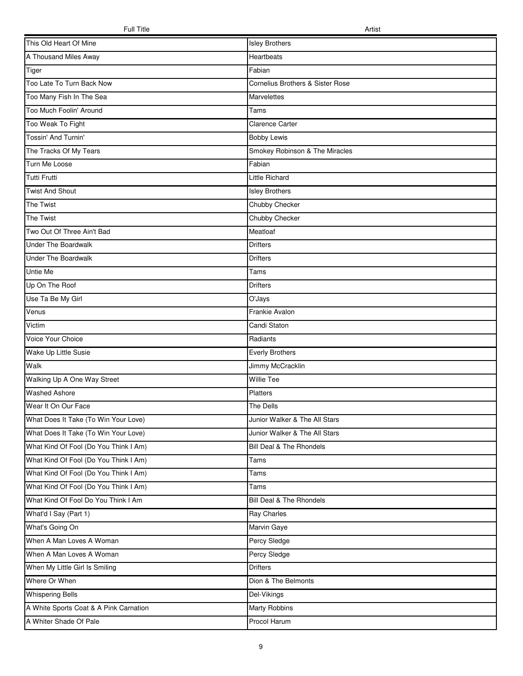| This Old Heart Of Mine                 | <b>Isley Brothers</b>            |
|----------------------------------------|----------------------------------|
| A Thousand Miles Away                  | Heartbeats                       |
| Tiger                                  | Fabian                           |
| Too Late To Turn Back Now              | Cornelius Brothers & Sister Rose |
| Too Many Fish In The Sea               | Marvelettes                      |
| Too Much Foolin' Around                | Tams                             |
| Too Weak To Fight                      | Clarence Carter                  |
| Tossin' And Turnin'                    | <b>Bobby Lewis</b>               |
| The Tracks Of My Tears                 | Smokey Robinson & The Miracles   |
| Turn Me Loose                          | Fabian                           |
| Tutti Frutti                           | Little Richard                   |
| <b>Twist And Shout</b>                 | <b>Isley Brothers</b>            |
| The Twist                              | Chubby Checker                   |
| The Twist                              | Chubby Checker                   |
| Two Out Of Three Ain't Bad             | Meatloaf                         |
| <b>Under The Boardwalk</b>             | <b>Drifters</b>                  |
| <b>Under The Boardwalk</b>             | <b>Drifters</b>                  |
| Untie Me                               | Tams                             |
| Up On The Roof                         | <b>Drifters</b>                  |
| Use Ta Be My Girl                      | O'Jays                           |
| Venus                                  | Frankie Avalon                   |
| Victim                                 | Candi Staton                     |
| Voice Your Choice                      | Radiants                         |
| Wake Up Little Susie                   | <b>Everly Brothers</b>           |
| Walk                                   | Jimmy McCracklin                 |
| Walking Up A One Way Street            | <b>Willie Tee</b>                |
| <b>Washed Ashore</b>                   | Platters                         |
| Wear It On Our Face                    | The Dells                        |
| What Does It Take (To Win Your Love)   | Junior Walker & The All Stars    |
| What Does It Take (To Win Your Love)   | Junior Walker & The All Stars    |
| What Kind Of Fool (Do You Think I Am)  | Bill Deal & The Rhondels         |
| What Kind Of Fool (Do You Think I Am)  | Tams                             |
| What Kind Of Fool (Do You Think I Am)  | Tams                             |
| What Kind Of Fool (Do You Think I Am)  | Tams                             |
| What Kind Of Fool Do You Think I Am    | Bill Deal & The Rhondels         |
| What'd I Say (Part 1)                  | Ray Charles                      |
| What's Going On                        | Marvin Gaye                      |
| When A Man Loves A Woman               | Percy Sledge                     |
| When A Man Loves A Woman               | Percy Sledge                     |
| When My Little Girl Is Smiling         | <b>Drifters</b>                  |
| Where Or When                          | Dion & The Belmonts              |
| <b>Whispering Bells</b>                | Del-Vikings                      |
| A White Sports Coat & A Pink Carnation | Marty Robbins                    |
| A Whiter Shade Of Pale                 | Procol Harum                     |